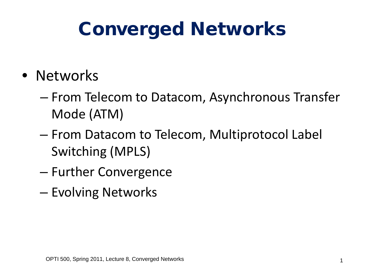# Converged Networks

- Networks
	- From Telecom to Datacom, Asynchronous Transfer Mode (ATM)
	- From Datacom to Telecom, Multiprotocol Label Switching (MPLS)
	- Further Convergence
	- Evolving Networks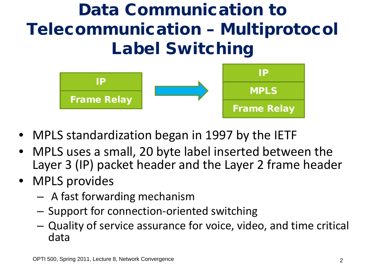#### Data Communication to Telecommunication – Multiprotocol Label Switching



- MPLS standardization began in 1997 by the IETF
- MPLS uses a small, 20 byte label inserted between the Layer 3 (IP) packet header and the Layer 2 frame header
- MPLS provides
	- A fast forwarding mechanism
	- Support for connection-oriented switching
	- Quality of service assurance for voice, video, and time critical data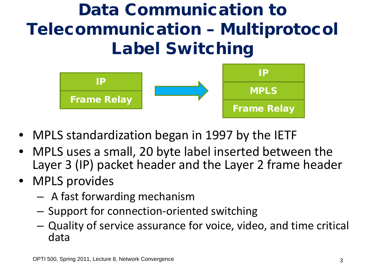#### Data Communication to Telecommunication – Multiprotocol Label Switching



- MPLS standardization began in 1997 by the IETF
- MPLS uses a small, 20 byte label inserted between the Layer 3 (IP) packet header and the Layer 2 frame header
- MPLS provides
	- A fast forwarding mechanism
	- Support for connection-oriented switching
	- Quality of service assurance for voice, video, and time critical data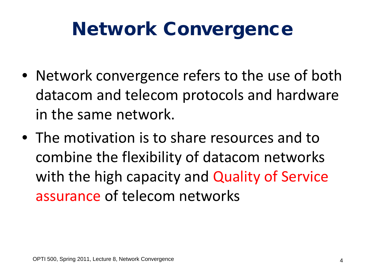# Network Convergence

- Network convergence refers to the use of both datacom and telecom protocols and hardware in the same network.
- The motivation is to share resources and to combine the flexibility of datacom networks with the high capacity and Quality of Service assurance of telecom networks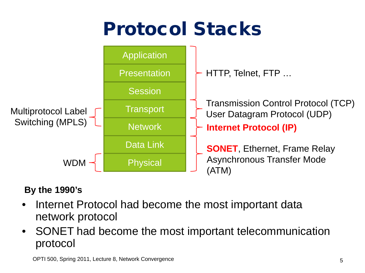# Protocol Stacks



#### **By the 1990's**

- Internet Protocol had become the most important data network protocol
- SONET had become the most important telecommunication protocol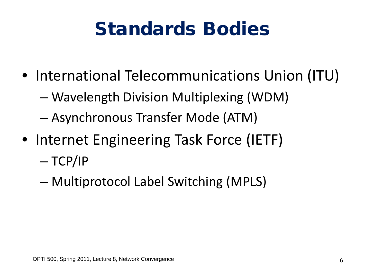# Standards Bodies

- International Telecommunications Union (ITU)
	- Wavelength Division Multiplexing (WDM)
	- Asynchronous Transfer Mode (ATM)
- Internet Engineering Task Force (IETF)
	- $-$  TCP/IP
	- Multiprotocol Label Switching (MPLS)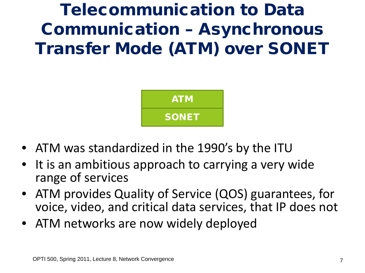#### Telecommunication to Data Communication – Asynchronous Transfer Mode (ATM) over SONET



- ATM was standardized in the 1990's by the ITU
- It is an ambitious approach to carrying a very wide range of services
- ATM provides Quality of Service (QOS) guarantees, for voice, video, and critical data services, that IP does not
- ATM networks are now widely deployed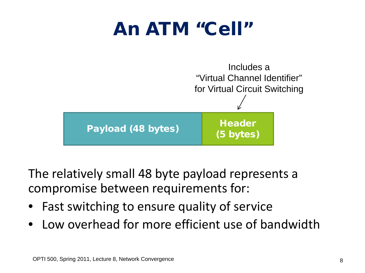# An ATM "Cell"



The relatively small 48 byte payload represents a compromise between requirements for:

- Fast switching to ensure quality of service
- Low overhead for more efficient use of bandwidth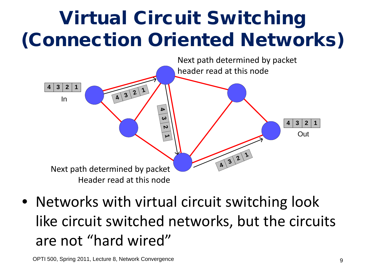# Virtual Circuit Switching (Connection Oriented Networks)



• Networks with virtual circuit switching look like circuit switched networks, but the circuits are not "hard wired"

OPTI 500, Spring 2011, Lecture 8, Network Convergence 9 And 100 and 100 and 100 and 100 and 100 and 100 and 10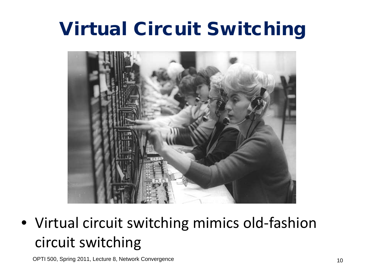# Virtual Circuit Switching



• Virtual circuit switching mimics old-fashion circuit switching

OPTI 500, Spring 2011, Lecture 8, Network Convergence 10 and 10 and 10 and 10 and 10 and 10 and 10 and 10 and 10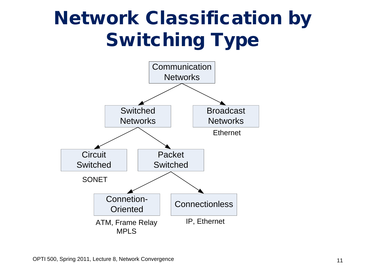# Network Classification by Switching Type

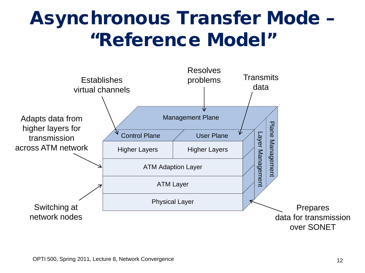## Asynchronous Transfer Mode – "Reference Model"

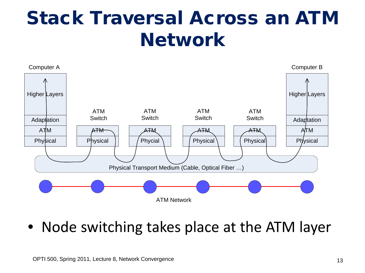## Stack Traversal Across an ATM Network



• Node switching takes place at the ATM layer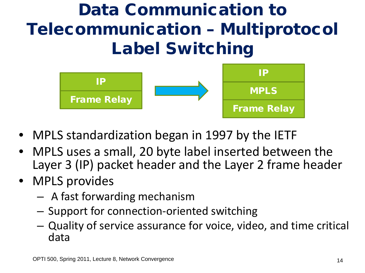#### Data Communication to Telecommunication – Multiprotocol Label Switching



- MPLS standardization began in 1997 by the IETF
- MPLS uses a small, 20 byte label inserted between the Layer 3 (IP) packet header and the Layer 2 frame header
- MPLS provides
	- A fast forwarding mechanism
	- Support for connection-oriented switching
	- Quality of service assurance for voice, video, and time critical data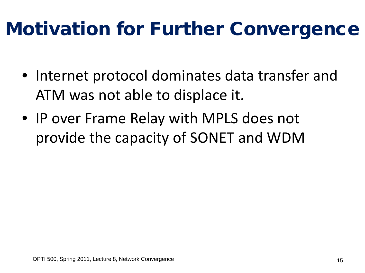# Motivation for Further Convergence

- Internet protocol dominates data transfer and ATM was not able to displace it.
- IP over Frame Relay with MPLS does not provide the capacity of SONET and WDM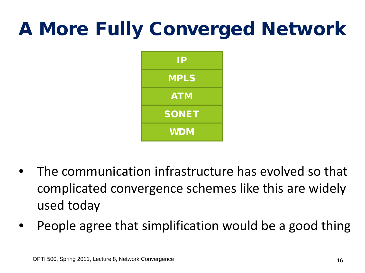# A More Fully Converged Network



- The communication infrastructure has evolved so that complicated convergence schemes like this are widely used today
- People agree that simplification would be a good thing